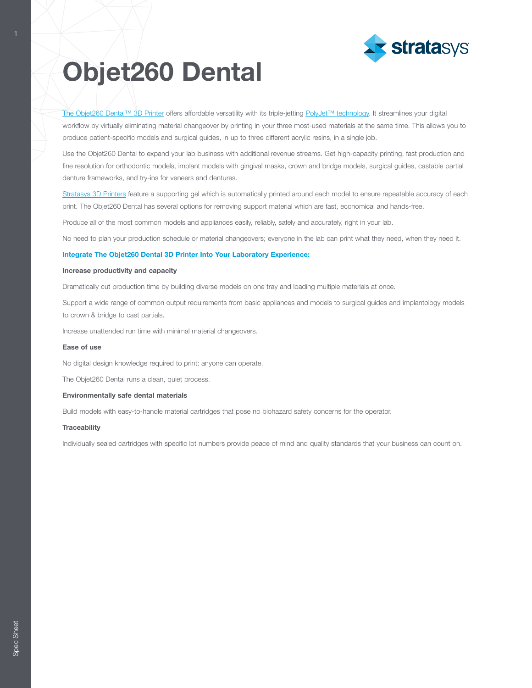

# Objet260 Dental

[The Objet260 Dental™ 3D Printer](http://www.stratasys.com/3d-printers/objet-260-500-dental-selection?utm_source=spec-sheet&utm_medium=pdf&utm_content=objet260-dental-spec-sheet-link-1-objet260) offers affordable versatility with its triple-jetting [PolyJet™ technology.](http://www.stratasys.com/polyjet-technology) It streamlines your digital workflow by virtually eliminating material changeover by printing in your three most-used materials at the same time. This allows you to produce patient-specific models and surgical guides, in up to three different acrylic resins, in a single job.

Use the Objet260 Dental to expand your lab business with additional revenue streams. Get high-capacity printing, fast production and fine resolution for orthodontic models, implant models with gingival masks, crown and bridge models, surgical guides, castable partial denture frameworks, and try-ins for veneers and dentures.

[Stratasys 3D Printers](http://www.stratasys.com/3d-printers?utm_source=spec-sheet&utm_medium=pdf&utm_content=objet260-dental-spec-sheet-link-3-3d-printers) feature a supporting gel which is automatically printed around each model to ensure repeatable accuracy of each print. The Objet260 Dental has several options for removing support material which are fast, economical and hands-free.

Produce all of the most common models and appliances easily, reliably, safely and accurately, right in your lab.

No need to plan your production schedule or material changeovers; everyone in the lab can print what they need, when they need it.

#### Integrate The Objet260 Dental 3D Printer Into Your Laboratory Experience:

### Increase productivity and capacity

Dramatically cut production time by building diverse models on one tray and loading multiple materials at once.

Support a wide range of common output requirements from basic appliances and models to surgical guides and implantology models to crown & bridge to cast partials.

Increase unattended run time with minimal material changeovers.

## Ease of use

No digital design knowledge required to print; anyone can operate.

The Objet260 Dental runs a clean, quiet process.

#### Environmentally safe dental materials

Build models with easy-to-handle material cartridges that pose no biohazard safety concerns for the operator.

# **Traceability**

Individually sealed cartridges with specific lot numbers provide peace of mind and quality standards that your business can count on.